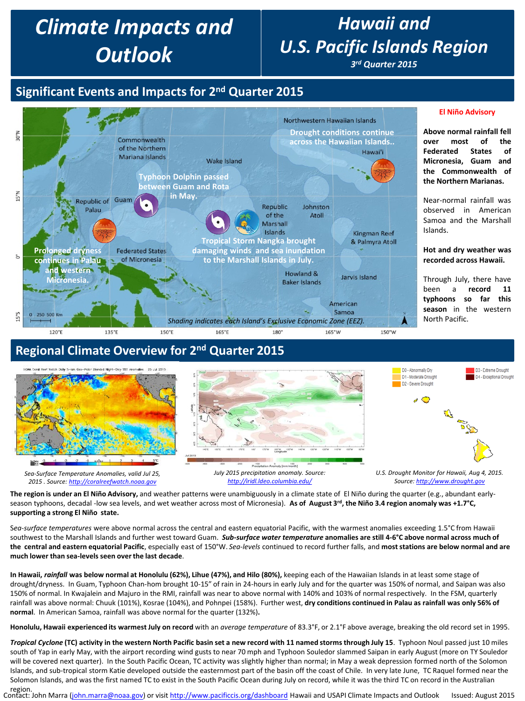# *Climate Impacts and Outlook*

## *Hawaii and U.S. Pacific Islands Region*

*3rd Quarter 2015*

### **Significant Events and Impacts for 2nd Quarter 2015**



#### **Regional Climate Overview for 2nd Quarter 2015**



**The region is under an El Niño Advisory,** and weather patterns were unambiguously in a climate state of El Niño during the quarter (e.g., abundant earlyseason typhoons, decadal -low sea levels, and wet weather across most of Micronesia). As of August 3<sup>rd</sup>, the Niño 3.4 region anomaly was +1.7°C, **supporting a strong El Niño state.**

S*ea-surface temperatures* were above normal across the central and eastern equatorial Pacific, with the warmest anomalies exceeding 1.5°C from Hawaii southwest to the Marshall Islands and further west toward Guam. *Sub-surface water temperature* **anomalies are still 4-6°C above normal across much of the central and eastern equatorial Pacific**, especially east of 150°W. *Sea-levels* continued to record further falls, and **most stations are below normal and are much lower than sea-levels seen over the last decade**.

**In Hawaii,** *rainfall* **was below normal at Honolulu (62%), Lihue (47%), and Hilo (80%),** keeping each of the Hawaiian Islands in at least some stage of drought/dryness. In Guam, Typhoon Chan-hom brought 10-15" of rain in 24-hours in early July and for the quarter was 150% of normal, and Saipan was also 150% of normal. In Kwajalein and Majuro in the RMI, rainfall was near to above normal with 140% and 103% of normal respectively. In the FSM, quarterly rainfall was above normal: Chuuk (101%), Kosrae (104%), and Pohnpei (158%). Further west, **dry conditions continued in Palau as rainfall was only 56% of normal**. In American Samoa, rainfall was above normal for the quarter (132%)**.**

**Honolulu, Hawaii experienced its warmest July on record** with an *average temperature* of 83.3°F, or 2.1°F above average, breaking the old record set in 1995.

*Tropical Cyclone* **(TC) activity in the western North Pacific basin set a new record with 11 named storms through July 15**. Typhoon Noul passed just 10 miles south of Yap in early May, with the airport recording wind gusts to near 70 mph and Typhoon Souledor slammed Saipan in early August (more on TY Souledor will be covered next quarter). In the South Pacific Ocean, TC activity was slightly higher than normal; in May a weak depression formed north of the Solomon Islands, and sub-tropical storm Katie developed outside the easternmost part of the basin off the coast of Chile. In very late June, TC Raquel formed near the Solomon Islands, and was the first named TC to exist in the South Pacific Ocean during July on record, while it was the third TC on record in the Australian region.

Contact: John Marra [\(john.marra@noaa.gov](mailto:john.marra@noaa.gov)) or visit <http://www.pacificcis.org/dashboard> Hawaii and USAPI Climate Impacts and Outlook Issued: August 2015